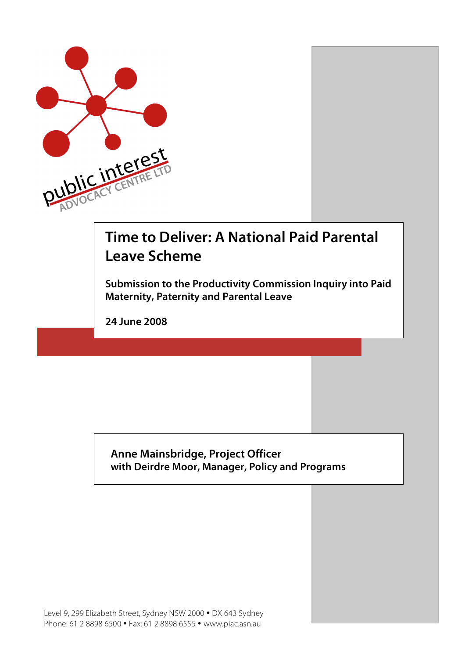

# **Time to Deliver: A National Paid Parental Leave Scheme**

**Submission to the Productivity Commission Inquiry into Paid Maternity, Paternity and Parental Leave**

**24 June 2008**

# **Anne Mainsbridge, Project Officer with Deirdre Moor, Manager, Policy and Programs**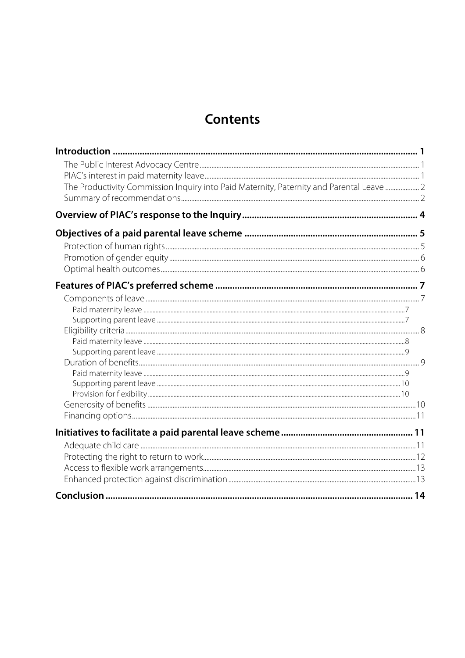# **Contents**

| The Productivity Commission Inquiry into Paid Maternity, Paternity and Parental Leave  2 |  |
|------------------------------------------------------------------------------------------|--|
|                                                                                          |  |
|                                                                                          |  |
|                                                                                          |  |
|                                                                                          |  |
|                                                                                          |  |
|                                                                                          |  |
|                                                                                          |  |
|                                                                                          |  |
|                                                                                          |  |
|                                                                                          |  |
|                                                                                          |  |
|                                                                                          |  |
|                                                                                          |  |
|                                                                                          |  |
|                                                                                          |  |
|                                                                                          |  |
|                                                                                          |  |
|                                                                                          |  |
|                                                                                          |  |
|                                                                                          |  |
|                                                                                          |  |
|                                                                                          |  |
|                                                                                          |  |
|                                                                                          |  |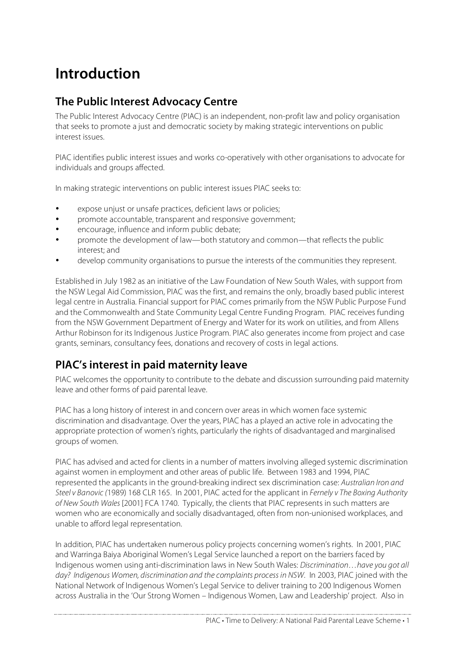# **Introduction**

# **The Public Interest Advocacy Centre**

The Public Interest Advocacy Centre (PIAC) is an independent, non-profit law and policy organisation that seeks to promote a just and democratic society by making strategic interventions on public interest issues.

PIAC identifies public interest issues and works co-operatively with other organisations to advocate for individuals and groups affected.

In making strategic interventions on public interest issues PIAC seeks to:

- expose unjust or unsafe practices, deficient laws or policies;
- promote accountable, transparent and responsive government;
- encourage, influence and inform public debate;
- promote the development of law—both statutory and common—that reflects the public interest; and
- develop community organisations to pursue the interests of the communities they represent.

Established in July 1982 as an initiative of the Law Foundation of New South Wales, with support from the NSW Legal Aid Commission, PIAC was the first, and remains the only, broadly based public interest legal centre in Australia. Financial support for PIAC comes primarily from the NSW Public Purpose Fund and the Commonwealth and State Community Legal Centre Funding Program. PIAC receives funding from the NSW Government Department of Energy and Water for its work on utilities, and from Allens Arthur Robinson for its Indigenous Justice Program. PIAC also generates income from project and case grants, seminars, consultancy fees, donations and recovery of costs in legal actions.

# **PIAC's interest in paid maternity leave**

PIAC welcomes the opportunity to contribute to the debate and discussion surrounding paid maternity leave and other forms of paid parental leave.

PIAC has a long history of interest in and concern over areas in which women face systemic discrimination and disadvantage. Over the years, PIAC has a played an active role in advocating the appropriate protection of women's rights, particularly the rights of disadvantaged and marginalised groups of women.

PIAC has advised and acted for clients in a number of matters involving alleged systemic discrimination against women in employment and other areas of public life. Between 1983 and 1994, PIAC represented the applicants in the ground-breaking indirect sex discrimination case: Australian Iron and Steel v Banovic (1989) 168 CLR 165. In 2001, PIAC acted for the applicant in Fernely v The Boxing Authority of New South Wales [2001] FCA 1740. Typically, the clients that PIAC represents in such matters are women who are economically and socially disadvantaged, often from non-unionised workplaces, and unable to afford legal representation.

In addition, PIAC has undertaken numerous policy projects concerning women's rights. In 2001, PIAC and Warringa Baiya Aboriginal Women's Legal Service launched a report on the barriers faced by Indigenous women using anti-discrimination laws in New South Wales: Discrimination…have you got all day? Indigenous Women, discrimination and the complaints process in NSW. In 2003, PIAC joined with the National Network of Indigenous Women's Legal Service to deliver training to 200 Indigenous Women across Australia in the 'Our Strong Women – Indigenous Women, Law and Leadership' project. Also in

PIAC • Time to Delivery: A National Paid Parental Leave Scheme • 1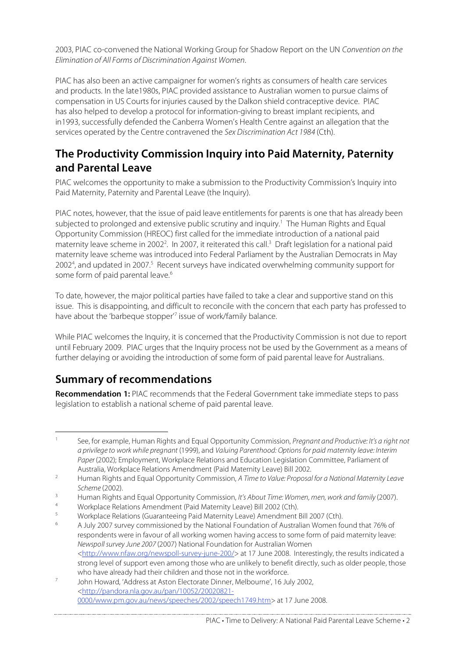2003, PIAC co-convened the National Working Group for Shadow Report on the UN Convention on the Elimination of All Forms of Discrimination Against Women.

PIAC has also been an active campaigner for women's rights as consumers of health care services and products. In the late1980s, PIAC provided assistance to Australian women to pursue claims of compensation in US Courts for injuries caused by the Dalkon shield contraceptive device. PIAC has also helped to develop a protocol for information-giving to breast implant recipients, and in1993, successfully defended the Canberra Women's Health Centre against an allegation that the services operated by the Centre contravened the Sex Discrimination Act 1984 (Cth).

# **The Productivity Commission Inquiry into Paid Maternity, Paternity and Parental Leave**

PIAC welcomes the opportunity to make a submission to the Productivity Commission's Inquiry into Paid Maternity, Paternity and Parental Leave (the Inquiry).

PIAC notes, however, that the issue of paid leave entitlements for parents is one that has already been subjected to prolonged and extensive public scrutiny and inquiry. <sup>1</sup> The Human Rights and Equal Opportunity Commission (HREOC) first called for the immediate introduction of a national paid maternity leave scheme in 2002<sup>2</sup>. In 2007, it reiterated this call.<sup>3</sup> Draft legislation for a national paid maternity leave scheme was introduced into Federal Parliament by the Australian Democrats in May 2002<sup>4</sup>, and updated in 2007.<sup>5</sup> Recent surveys have indicated overwhelming community support for some form of paid parental leave.<sup>6</sup>

To date, however, the major political parties have failed to take a clear and supportive stand on this issue. This is disappointing, and difficult to reconcile with the concern that each party has professed to have about the 'barbeque stopper' <sup>7</sup> issue of work/family balance.

While PIAC welcomes the Inquiry, it is concerned that the Productivity Commission is not due to report until February 2009. PIAC urges that the Inquiry process not be used by the Government as a means of further delaying or avoiding the introduction of some form of paid parental leave for Australians.

# **Summary of recommendations**

**Recommendation 1:** PIAC recommends that the Federal Government take immediate steps to pass legislation to establish a national scheme of paid parental leave.

See, for example, Human Rights and Equal Opportunity Commission, Pregnant and Productive: It's a right not a privilege to work while pregnant (1999), and Valuing Parenthood: Options for paid maternity leave: Interim Paper (2002); Employment, Workplace Relations and Education Legislation Committee, Parliament of Australia, Workplace Relations Amendment (Paid Maternity Leave) Bill 2002.

<sup>&</sup>lt;sup>2</sup> Human Rights and Equal Opportunity Commission, A Time to Value: Proposal for a National Maternity Leave Scheme (2002).

<sup>&</sup>lt;sup>3</sup> Human Rights and Equal Opportunity Commission, It's About Time: Women, men, work and family (2007).

<sup>4</sup> Workplace Relations Amendment (Paid Maternity Leave) Bill 2002 (Cth).

<sup>5</sup> Workplace Relations (Guaranteeing Paid Maternity Leave) Amendment Bill 2007 (Cth).

<sup>6</sup> A July 2007 survey commissioned by the National Foundation of Australian Women found that 76% of respondents were in favour of all working women having access to some form of paid maternity leave: Newspoll survey June 2007 (2007) National Foundation for Australian Women <http://www.nfaw.org/newspoll-survey-june-200/> at 17 June 2008. Interestingly, the results indicated a strong level of support even among those who are unlikely to benefit directly, such as older people, those who have already had their children and those not in the workforce.

<sup>7</sup> John Howard, 'Address at Aston Electorate Dinner, Melbourne', 16 July 2002, <http://pandora.nla.gov.au/pan/10052/20020821- 0000/www.pm.gov.au/news/speeches/2002/speech1749.htm> at 17 June 2008.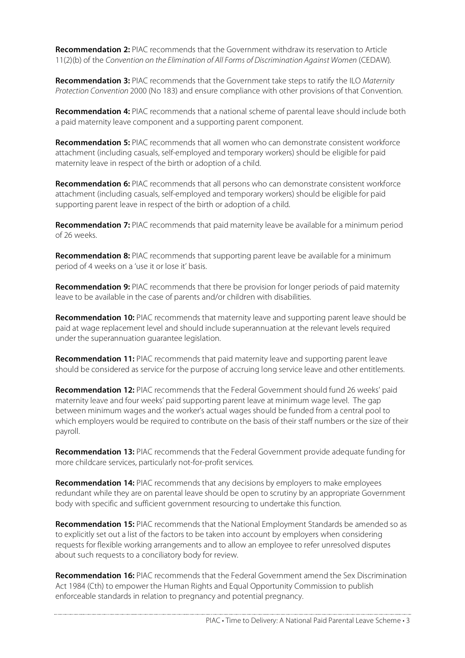**Recommendation 2:** PIAC recommends that the Government withdraw its reservation to Article 11(2)(b) of the Convention on the Elimination of All Forms of Discrimination Against Women (CEDAW).

**Recommendation 3:** PIAC recommends that the Government take steps to ratify the ILO Maternity Protection Convention 2000 (No 183) and ensure compliance with other provisions of that Convention.

**Recommendation 4:** PIAC recommends that a national scheme of parental leave should include both a paid maternity leave component and a supporting parent component.

**Recommendation 5:** PIAC recommends that all women who can demonstrate consistent workforce attachment (including casuals, self-employed and temporary workers) should be eligible for paid maternity leave in respect of the birth or adoption of a child.

**Recommendation 6:** PIAC recommends that all persons who can demonstrate consistent workforce attachment (including casuals, self-employed and temporary workers) should be eligible for paid supporting parent leave in respect of the birth or adoption of a child.

**Recommendation 7:** PIAC recommends that paid maternity leave be available for a minimum period of 26 weeks.

**Recommendation 8:** PIAC recommends that supporting parent leave be available for a minimum period of 4 weeks on a 'use it or lose it' basis.

**Recommendation 9:** PIAC recommends that there be provision for longer periods of paid maternity leave to be available in the case of parents and/or children with disabilities.

**Recommendation 10:** PIAC recommends that maternity leave and supporting parent leave should be paid at wage replacement level and should include superannuation at the relevant levels required under the superannuation guarantee legislation.

**Recommendation 11:** PIAC recommends that paid maternity leave and supporting parent leave should be considered as service for the purpose of accruing long service leave and other entitlements.

**Recommendation 12:** PIAC recommends that the Federal Government should fund 26 weeks' paid maternity leave and four weeks' paid supporting parent leave at minimum wage level. The gap between minimum wages and the worker's actual wages should be funded from a central pool to which employers would be required to contribute on the basis of their staff numbers or the size of their payroll.

**Recommendation 13:** PIAC recommends that the Federal Government provide adequate funding for more childcare services, particularly not-for-profit services.

**Recommendation 14:** PIAC recommends that any decisions by employers to make employees redundant while they are on parental leave should be open to scrutiny by an appropriate Government body with specific and sufficient government resourcing to undertake this function.

**Recommendation 15:** PIAC recommends that the National Employment Standards be amended so as to explicitly set out a list of the factors to be taken into account by employers when considering requests for flexible working arrangements and to allow an employee to refer unresolved disputes about such requests to a conciliatory body for review.

**Recommendation 16:** PIAC recommends that the Federal Government amend the Sex Discrimination Act 1984 (Cth) to empower the Human Rights and Equal Opportunity Commission to publish enforceable standards in relation to pregnancy and potential pregnancy.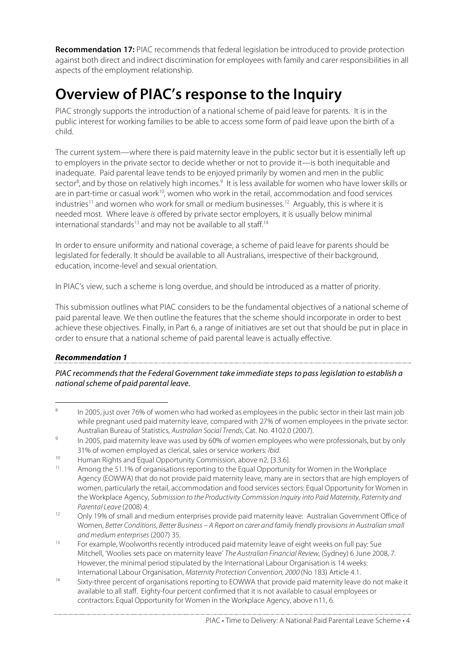**Recommendation 17:** PIAC recommends that federal legislation be introduced to provide protection against both direct and indirect discrimination for employees with family and carer responsibilities in all aspects of the employment relationship.

# **Overview of PIAC's response to the Inquiry**

PIAC strongly supports the introduction of a national scheme of paid leave for parents. It is in the public interest for working families to be able to access some form of paid leave upon the birth of a child.

The current system—where there is paid maternity leave in the public sector but it is essentially left up to employers in the private sector to decide whether or not to provide it—is both inequitable and inadequate. Paid parental leave tends to be enjoyed primarily by women and men in the public sector<sup>8</sup>, and by those on relatively high incomes.<sup>9</sup> It is less available for women who have lower skills or are in part-time or casual work $^{10}$ , women who work in the retail, accommodation and food services industries<sup>11</sup> and women who work for small or medium businesses.<sup>12</sup> Arguably, this is where it is needed most. Where leave is offered by private sector employers, it is usually below minimal international standards<sup>13</sup> and may not be available to all staff.<sup>14</sup>

In order to ensure uniformity and national coverage, a scheme of paid leave for parents should be legislated for federally. It should be available to all Australians, irrespective of their background, education, income-level and sexual orientation.

In PIAC's view, such a scheme is long overdue, and should be introduced as a matter of priority.

This submission outlines what PIAC considers to be the fundamental objectives of a national scheme of paid parental leave. We then outline the features that the scheme should incorporate in order to best achieve these objectives. Finally, in Part 6, a range of initiatives are set out that should be put in place in order to ensure that a national scheme of paid parental leave is actually effective.

### **Recommendation 1**

PIAC recommends that the Federal Government take immediate steps to pass legislation to establish a nationalscheme of paid parental leave.

<sup>8</sup> In 2005, just over 76% of women who had worked as employees in the public sector in their last main job while pregnant used paid maternity leave, compared with 27% of women employees in the private sector: Australian Bureau of Statistics, Australian Social Trends, Cat. No. 4102.0 (2007).

<sup>&</sup>lt;sup>9</sup> In 2005, paid maternity leave was used by 60% of women employees who were professionals, but by only 31% of women employed as clerical, sales or service workers: Ibid.

<sup>&</sup>lt;sup>10</sup> Human Rights and Equal Opportunity Commission, above n2, [3.3.6].<br><sup>11</sup> Among the 51.1% of organisations reporting to the Equal Opportunity

Among the 51.1% of organisations reporting to the Equal Opportunity for Women in the Workplace Agency (EOWWA) that do not provide paid maternity leave, many are in sectors that are high employers of women, particularly the retail, accommodation and food services sectors: Equal Opportunity for Women in the Workplace Agency, Submission to the Productivity Commission Inquiry into Paid Maternity, Paternity and Parental Leave (2008) 4.

<sup>&</sup>lt;sup>12</sup> Only 19% of small and medium enterprises provide paid maternity leave: Australian Government Office of Women, Better Conditions, Better Business – A Report on carer and family friendly provisions in Australian small and medium enterprises (2007) 35.

 $13$  For example, Woolworths recently introduced paid maternity leave of eight weeks on full pay: Sue Mitchell, 'Woolies sets pace on maternity leave' The Australian Financial Review, (Sydney) 6 June 2008, 7. However, the minimal period stipulated by the International Labour Organisation is 14 weeks: International Labour Organisation, Maternity Protection Convention, 2000 (No 183) Article 4.1.

<sup>14</sup> Sixty-three percent of organisations reporting to EOWWA that provide paid maternity leave do not make it available to all staff. Eighty-four percent confirmed that it is not available to casual employees or contractors: Equal Opportunity for Women in the Workplace Agency, above n11, 6.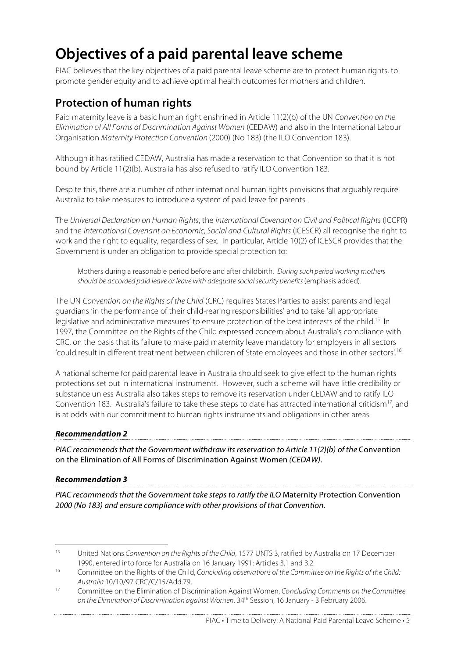# **Objectives of a paid parental leave scheme**

PIAC believes that the key objectives of a paid parental leave scheme are to protect human rights, to promote gender equity and to achieve optimal health outcomes for mothers and children.

# **Protection of human rights**

Paid maternity leave is a basic human right enshrined in Article 11(2)(b) of the UN Convention on the Elimination of All Forms of Discrimination Against Women (CEDAW) and also in the International Labour Organisation Maternity Protection Convention (2000) (No 183) (the ILO Convention 183).

Although it has ratified CEDAW, Australia has made a reservation to that Convention so that it is not bound by Article 11(2)(b). Australia has also refused to ratify ILO Convention 183.

Despite this, there are a number of other international human rights provisions that arguably require Australia to take measures to introduce a system of paid leave for parents.

The Universal Declaration on Human Rights, the International Covenant on Civil and Political Rights (ICCPR) and the International Covenant on Economic, Social and Cultural Rights (ICESCR) all recognise the right to work and the right to equality, regardless of sex. In particular, Article 10(2) of ICESCR provides that the Government is under an obligation to provide special protection to:

Mothers during a reasonable period before and after childbirth. During such period working mothers should be accorded paid leave or leave with adequate social security benefits (emphasis added).

The UN Convention on the Rights of the Child (CRC) requires States Parties to assist parents and legal guardians 'in the performance of their child-rearing responsibilities' and to take 'all appropriate legislative and administrative measures' to ensure protection of the best interests of the child.<sup>15</sup> In 1997, the Committee on the Rights of the Child expressed concern about Australia's compliance with CRC, on the basis that its failure to make paid maternity leave mandatory for employers in all sectors 'could result in different treatment between children of State employees and those in other sectors'. 16

A national scheme for paid parental leave in Australia should seek to give effect to the human rights protections set out in international instruments. However, such a scheme will have little credibility or substance unless Australia also takes steps to remove its reservation under CEDAW and to ratify ILO Convention 183. Australia's failure to take these steps to date has attracted international criticism<sup>17</sup>, and is at odds with our commitment to human rights instruments and obligations in other areas.

### **Recommendation 2**

PIAC recommends that the Government withdraw its reservation to Article 11(2)(b) of the Convention on the Elimination of All Forms of Discrimination Against Women (CEDAW).

### **Recommendation 3**

PIAC recommends that the Government take steps to ratify the ILO Maternity Protection Convention 2000 (No 183) and ensure compliance with other provisions of that Convention.

PIAC • Time to Delivery: A National Paid Parental Leave Scheme • 5

<sup>&</sup>lt;sup>15</sup> United Nations Convention on the Rights of the Child, 1577 UNTS 3, ratified by Australia on 17 December 1990, entered into force for Australia on 16 January 1991: Articles 3.1 and 3.2.

<sup>&</sup>lt;sup>16</sup> Committee on the Rights of the Child, Concluding observations of the Committee on the Rights of the Child: Australia 10/10/97 CRC/C/15/Add.79.

<sup>&</sup>lt;sup>17</sup> Committee on the Elimination of Discrimination Against Women, Concluding Comments on the Committee on the Elimination of Discrimination against Women, 34<sup>th</sup> Session, 16 January - 3 February 2006.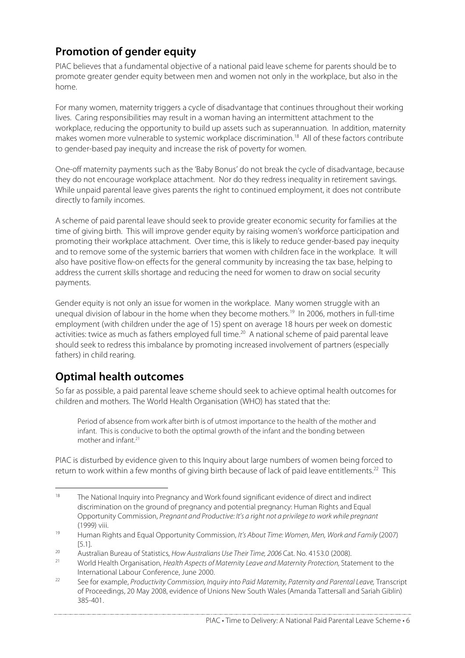# **Promotion of gender equity**

PIAC believes that a fundamental objective of a national paid leave scheme for parents should be to promote greater gender equity between men and women not only in the workplace, but also in the home.

For many women, maternity triggers a cycle of disadvantage that continues throughout their working lives. Caring responsibilities may result in a woman having an intermittent attachment to the workplace, reducing the opportunity to build up assets such as superannuation. In addition, maternity makes women more vulnerable to systemic workplace discrimination.<sup>18</sup> All of these factors contribute to gender-based pay inequity and increase the risk of poverty for women.

One-off maternity payments such as the 'Baby Bonus' do not break the cycle of disadvantage, because they do not encourage workplace attachment. Nor do they redress inequality in retirement savings. While unpaid parental leave gives parents the right to continued employment, it does not contribute directly to family incomes.

A scheme of paid parental leave should seek to provide greater economic security for families at the time of giving birth. This will improve gender equity by raising women's workforce participation and promoting their workplace attachment. Over time, this is likely to reduce gender-based pay inequity and to remove some of the systemic barriers that women with children face in the workplace. It will also have positive flow-on effects for the general community by increasing the tax base, helping to address the current skills shortage and reducing the need for women to draw on social security payments.

Gender equity is not only an issue for women in the workplace. Many women struggle with an unequal division of labour in the home when they become mothers. <sup>19</sup> In 2006, mothers in full-time employment (with children under the age of 15) spent on average 18 hours per week on domestic activities: twice as much as fathers employed full time. <sup>20</sup> A national scheme of paid parental leave should seek to redress this imbalance by promoting increased involvement of partners (especially fathers) in child rearing.

# **Optimal health outcomes**

So far as possible, a paid parental leave scheme should seek to achieve optimal health outcomes for children and mothers. The World Health Organisation (WHO) has stated that the:

Period of absence from work after birth is of utmost importance to the health of the mother and infant. This is conducive to both the optimal growth of the infant and the bonding between mother and infant. 21

PIAC is disturbed by evidence given to this Inquiry about large numbers of women being forced to return to work within a few months of giving birth because of lack of paid leave entitlements. <sup>22</sup> This

<sup>&</sup>lt;sup>18</sup> The National Inquiry into Pregnancy and Work found significant evidence of direct and indirect discrimination on the ground of pregnancy and potential pregnancy: Human Rights and Equal Opportunity Commission, Pregnant and Productive: It's a right not a privilege to work while pregnant (1999) viii.

<sup>19</sup> Human Rights and Equal Opportunity Commission, It's About Time: Women, Men, Work and Family (2007) [5.1].

<sup>&</sup>lt;sup>20</sup> Australian Bureau of Statistics, How Australians Use Their Time, 2006 Cat. No. 4153.0 (2008).<br><sup>21</sup> Mortel Health Organization, Health Aspects of Maternity Lagye and Maternity Protection, Stat

World Health Organisation, Health Aspects of Maternity Leave and Maternity Protection, Statement to the International Labour Conference, June 2000.

<sup>&</sup>lt;sup>22</sup> See for example, *Productivity Commission, Inquiry into Paid Maternity, Paternity and Parental Leave, Transcript* of Proceedings, 20 May 2008, evidence of Unions New South Wales (Amanda Tattersall and Sariah Giblin) 385-401.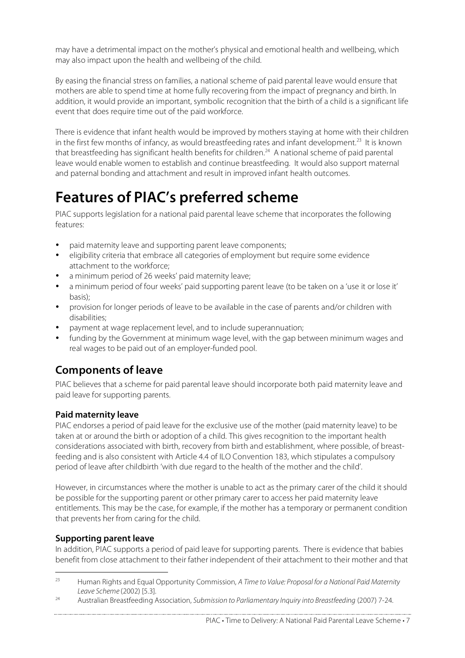may have a detrimental impact on the mother's physical and emotional health and wellbeing, which may also impact upon the health and wellbeing of the child.

By easing the financial stress on families, a national scheme of paid parental leave would ensure that mothers are able to spend time at home fully recovering from the impact of pregnancy and birth. In addition, it would provide an important, symbolic recognition that the birth of a child is a significant life event that does require time out of the paid workforce.

There is evidence that infant health would be improved by mothers staying at home with their children in the first few months of infancy, as would breastfeeding rates and infant development.<sup>23</sup> It is known that breastfeeding has significant health benefits for children. <sup>24</sup> A national scheme of paid parental leave would enable women to establish and continue breastfeeding. It would also support maternal and paternal bonding and attachment and result in improved infant health outcomes.

# **Features of PIAC's preferred scheme**

PIAC supports legislation for a national paid parental leave scheme that incorporates the following features:

- paid maternity leave and supporting parent leave components;
- eligibility criteria that embrace all categories of employment but require some evidence attachment to the workforce;
- a minimum period of 26 weeks' paid maternity leave;
- a minimum period of four weeks' paid supporting parent leave (to be taken on a 'use it or lose it' basis);
- provision for longer periods of leave to be available in the case of parents and/or children with disabilities;
- payment at wage replacement level, and to include superannuation;
- funding by the Government at minimum wage level, with the gap between minimum wages and real wages to be paid out of an employer-funded pool.

# **Components of leave**

PIAC believes that a scheme for paid parental leave should incorporate both paid maternity leave and paid leave for supporting parents.

## **Paid maternity leave**

PIAC endorses a period of paid leave for the exclusive use of the mother (paid maternity leave) to be taken at or around the birth or adoption of a child. This gives recognition to the important health considerations associated with birth, recovery from birth and establishment, where possible, of breastfeeding and is also consistent with Article 4.4 of ILO Convention 183, which stipulates a compulsory period of leave after childbirth 'with due regard to the health of the mother and the child'.

However, in circumstances where the mother is unable to act as the primary carer of the child it should be possible for the supporting parent or other primary carer to access her paid maternity leave entitlements. This may be the case, for example, if the mother has a temporary or permanent condition that prevents her from caring for the child.

### **Supporting parent leave**

In addition, PIAC supports a period of paid leave for supporting parents. There is evidence that babies benefit from close attachment to their father independent of their attachment to their mother and that

<sup>&</sup>lt;sup>23</sup> Human Rights and Equal Opportunity Commission, A Time to Value: Proposal for a National Paid Maternity Leave Scheme (2002) [5.3].

<sup>&</sup>lt;sup>24</sup> Australian Breastfeeding Association, Submission to Parliamentary Inquiry into Breastfeeding (2007) 7-24.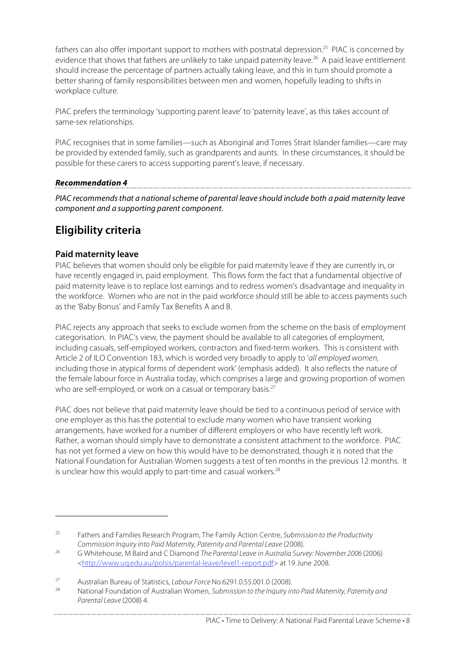fathers can also offer important support to mothers with postnatal depression.<sup>25</sup> PIAC is concerned by evidence that shows that fathers are unlikely to take unpaid paternity leave. <sup>26</sup> A paid leave entitlement should increase the percentage of partners actually taking leave, and this in turn should promote a better sharing of family responsibilities between men and women, hopefully leading to shifts in workplace culture.

PIAC prefers the terminology 'supporting parent leave' to 'paternity leave', as this takes account of same-sex relationships.

PIAC recognises that in some families—such as Aboriginal and Torres Strait Islander families—care may be provided by extended family, such as grandparents and aunts. In these circumstances, it should be possible for these carers to access supporting parent's leave, if necessary.

### **Recommendation 4**

PIAC recommends that a national scheme of parental leave should include both a paid maternity leave component and a supporting parent component.

## **Eligibility criteria**

### **Paid maternity leave**

 $\overline{a}$ 

PIAC believes that women should only be eligible for paid maternity leave if they are currently in, or have recently engaged in, paid employment. This flows form the fact that a fundamental objective of paid maternity leave is to replace lost earnings and to redress women's disadvantage and inequality in the workforce. Women who are not in the paid workforce should still be able to access payments such as the 'Baby Bonus' and Family Tax Benefits A and B.

PIAC rejects any approach that seeks to exclude women from the scheme on the basis of employment categorisation. In PIAC's view, the payment should be available to all categories of employment, including casuals, self-employed workers, contractors and fixed-term workers. This is consistent with Article 2 of ILO Convention 183, which is worded very broadly to apply to 'all employed women, including those in atypical forms of dependent work' (emphasis added). It also reflects the nature of the female labour force in Australia today, which comprises a large and growing proportion of women who are self-employed, or work on a casual or temporary basis.<sup>27</sup>

PIAC does not believe that paid maternity leave should be tied to a continuous period of service with one employer as this has the potential to exclude many women who have transient working arrangements, have worked for a number of different employers or who have recently left work. Rather, a woman should simply have to demonstrate a consistent attachment to the workforce. PIAC has not yet formed a view on how this would have to be demonstrated, though it is noted that the National Foundation for Australian Women suggests a test of ten months in the previous 12 months. It is unclear how this would apply to part-time and casual workers.<sup>28</sup>

<sup>&</sup>lt;sup>25</sup> Fathers and Families Research Program, The Family Action Centre, Submission to the Productivity Commission Inquiry into Paid Maternity, Paternity and Parental Leave (2008).

<sup>&</sup>lt;sup>26</sup> G Whitehouse, M Baird and C Diamond *The Parental Leave in Australia Survey: November 2006* (2006) <http://www.uq.edu.au/polsis/parental-leave/level1-report.pdf> at 19 June 2008.

<sup>27</sup> Australian Bureau of Statistics, Labour Force No.6291.0.55.001.0 (2008).

National Foundation of Australian Women, Submission to the Inquiry into Paid Maternity, Paternity and Parental Leave (2008) 4.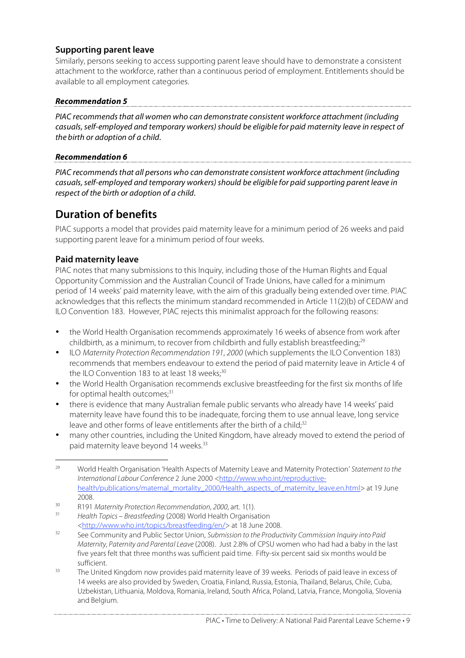## **Supporting parent leave**

Similarly, persons seeking to access supporting parent leave should have to demonstrate a consistent attachment to the workforce, rather than a continuous period of employment. Entitlements should be available to all employment categories.

### **Recommendation 5**

PIAC recommendsthat all women who can demonstrate consistent workforce attachment (including casuals,self-employed and temporary workers)should be eligible for paid maternity leave in respect of the birth or adoption of a child.

### **Recommendation 6**

PIAC recommends that all persons who can demonstrate consistent workforce attachment (including casuals,self-employed and temporary workers)should be eligible for paid supporting parent leave in respect of the birth or adoption of a child.

# **Duration of benefits**

PIAC supports a model that provides paid maternity leave for a minimum period of 26 weeks and paid supporting parent leave for a minimum period of four weeks.

### **Paid maternity leave**

PIAC notes that many submissions to this Inquiry, including those of the Human Rights and Equal Opportunity Commission and the Australian Council of Trade Unions, have called for a minimum period of 14 weeks' paid maternity leave, with the aim of this gradually being extended over time. PIAC acknowledges that this reflects the minimum standard recommended in Article 11(2)(b) of CEDAW and ILO Convention 183. However, PIAC rejects this minimalist approach for the following reasons:

- the World Health Organisation recommends approximately 16 weeks of absence from work after childbirth, as a minimum, to recover from childbirth and fully establish breastfeeding; $^{29}$
- ILO Maternity Protection Recommendation 191, 2000 (which supplements the ILO Convention 183) recommends that members endeavour to extend the period of paid maternity leave in Article 4 of the ILO Convention 183 to at least 18 weeks;<sup>30</sup>
- the World Health Organisation recommends exclusive breastfeeding for the first six months of life for optimal health outcomes; 31
- there is evidence that many Australian female public servants who already have 14 weeks' paid maternity leave have found this to be inadequate, forcing them to use annual leave, long service leave and other forms of leave entitlements after the birth of a child;<sup>32</sup>
- many other countries, including the United Kingdom, have already moved to extend the period of paid maternity leave beyond 14 weeks. 33

- Health Topics Breastfeeding (2008) World Health Organisation <http://www.who.int/topics/breastfeeding/en/> at 18 June 2008.
- <sup>32</sup> See Community and Public Sector Union, Submission to the Productivity Commission Inquiry into Paid Maternity, Paternity and Parental Leave (2008). Just 2.8% of CPSU women who had had a baby in the last five years felt that three months was sufficient paid time. Fifty-six percent said six months would be sufficient.
- <sup>33</sup> The United Kingdom now provides paid maternity leave of 39 weeks. Periods of paid leave in excess of 14 weeks are also provided by Sweden, Croatia, Finland, Russia, Estonia, Thailand, Belarus, Chile, Cuba, Uzbekistan, Lithuania, Moldova, Romania, Ireland, South Africa, Poland, Latvia, France, Mongolia, Slovenia and Belgium.

<sup>&</sup>lt;sup>29</sup> World Health Organisation 'Health Aspects of Maternity Leave and Maternity Protection' Statement to the International Labour Conference 2 June 2000 <http://www.who.int/reproductivehealth/publications/maternal\_mortality\_2000/Health\_aspects\_of\_maternity\_leave.en.html> at 19 June 2008.

<sup>30</sup> R191 Maternity Protection Recommendation, 2000, art. 1(1).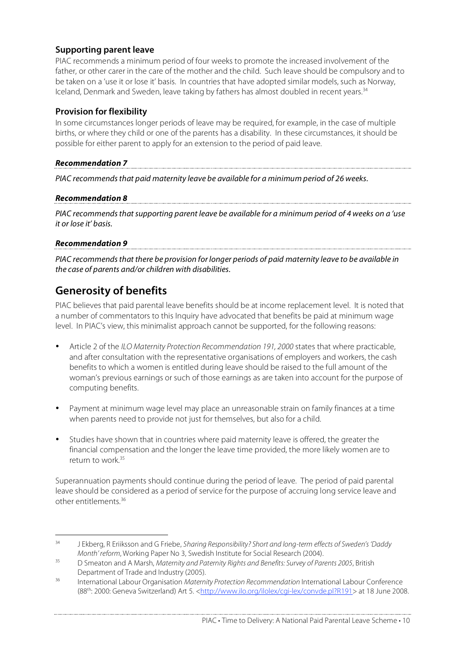## **Supporting parent leave**

PIAC recommends a minimum period of four weeks to promote the increased involvement of the father, or other carer in the care of the mother and the child. Such leave should be compulsory and to be taken on a 'use it or lose it' basis. In countries that have adopted similar models, such as Norway, Iceland, Denmark and Sweden, leave taking by fathers has almost doubled in recent years. 34

## **Provision for flexibility**

In some circumstances longer periods of leave may be required, for example, in the case of multiple births, or where they child or one of the parents has a disability. In these circumstances, it should be possible for either parent to apply for an extension to the period of paid leave.

# **Recommendation 7**

PIAC recommends that paid maternity leave be available for a minimum period of 26 weeks.

### **Recommendation 8**

PIAC recommends that supporting parent leave be available for a minimum period of 4 weeks on a 'use it or lose it' basis.

### **Recommendation 9**

PIAC recommends that there be provision for longer periods of paid maternity leave to be available in the case of parents and/or children with disabilities.

# **Generosity of benefits**

PIAC believes that paid parental leave benefits should be at income replacement level. It is noted that a number of commentators to this Inquiry have advocated that benefits be paid at minimum wage level. In PIAC's view, this minimalist approach cannot be supported, for the following reasons:

- Article 2 of the ILO Maternity Protection Recommendation 191, 2000 states that where practicable, and after consultation with the representative organisations of employers and workers, the cash benefits to which a women is entitled during leave should be raised to the full amount of the woman's previous earnings or such of those earnings as are taken into account for the purpose of computing benefits.
- Payment at minimum wage level may place an unreasonable strain on family finances at a time when parents need to provide not just for themselves, but also for a child.
- Studies have shown that in countries where paid maternity leave is offered, the greater the financial compensation and the longer the leave time provided, the more likely women are to return to work. 35

Superannuation payments should continue during the period of leave. The period of paid parental leave should be considered as a period of service for the purpose of accruing long service leave and other entitlements. 36

<sup>&</sup>lt;sup>34</sup> J Ekberg, R Erijksson and G Friebe, Sharing Responsibility? Short and long-term effects of Sweden's 'Daddy Month' reform, Working Paper No 3, Swedish Institute for Social Research (2004).

<sup>&</sup>lt;sup>35</sup> D Smeaton and A Marsh, Maternity and Paternity Rights and Benefits: Survey of Parents 2005, British Department of Trade and Industry (2005).

<sup>&</sup>lt;sup>36</sup> International Labour Organisation *Maternity Protection Recommendation* International Labour Conference (88<sup>th</sup>: 2000: Geneva Switzerland) Art 5. <http://www.ilo.org/ilolex/cgi-lex/convde.pl?R191> at 18 June 2008.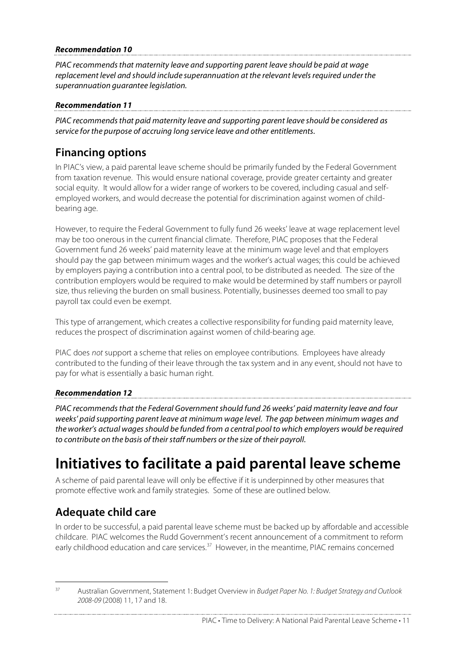### **Recommendation 10**

PIAC recommendsthat maternity leave and supporting parent leave should be paid at wage replacement level and should include superannuation at the relevant levels required under the superannuation guarantee legislation.

### **Recommendation 11**

PIAC recommends that paid maternity leave and supporting parent leave should be considered as service for the purpose of accruing long service leave and other entitlements.

## **Financing options**

In PIAC's view, a paid parental leave scheme should be primarily funded by the Federal Government from taxation revenue. This would ensure national coverage, provide greater certainty and greater social equity. It would allow for a wider range of workers to be covered, including casual and selfemployed workers, and would decrease the potential for discrimination against women of childbearing age.

However, to require the Federal Government to fully fund 26 weeks' leave at wage replacement level may be too onerous in the current financial climate. Therefore, PIAC proposes that the Federal Government fund 26 weeks' paid maternity leave at the minimum wage level and that employers should pay the gap between minimum wages and the worker's actual wages; this could be achieved by employers paying a contribution into a central pool, to be distributed as needed. The size of the contribution employers would be required to make would be determined by staff numbers or payroll size, thus relieving the burden on small business. Potentially, businesses deemed too small to pay payroll tax could even be exempt.

This type of arrangement, which creates a collective responsibility for funding paid maternity leave, reduces the prospect of discrimination against women of child-bearing age.

PIAC does not support a scheme that relies on employee contributions. Employees have already contributed to the funding of their leave through the tax system and in any event, should not have to pay for what is essentially a basic human right.

## **Recommendation 12**

PIAC recommends that the Federal Government should fund 26 weeks' paid maternity leave and four weeks' paid supporting parent leave at minimum wage level. The gap between minimum wages and the worker's actual wagesshould be funded from a central pool to which employers would be required to contribute on the basis of their staff numbers or the size of their payroll.

# **Initiatives to facilitate a paid parental leave scheme**

A scheme of paid parental leave will only be effective if it is underpinned by other measures that promote effective work and family strategies. Some of these are outlined below.

# **Adequate child care**

In order to be successful, a paid parental leave scheme must be backed up by affordable and accessible childcare. PIAC welcomes the Rudd Government's recent announcement of a commitment to reform early childhood education and care services.<sup>37</sup> However, in the meantime, PIAC remains concerned

<sup>&</sup>lt;sup>37</sup> Australian Government, Statement 1: Budget Overview in Budget Paper No. 1: Budget Strategy and Outlook 2008-09 (2008) 11, 17 and 18.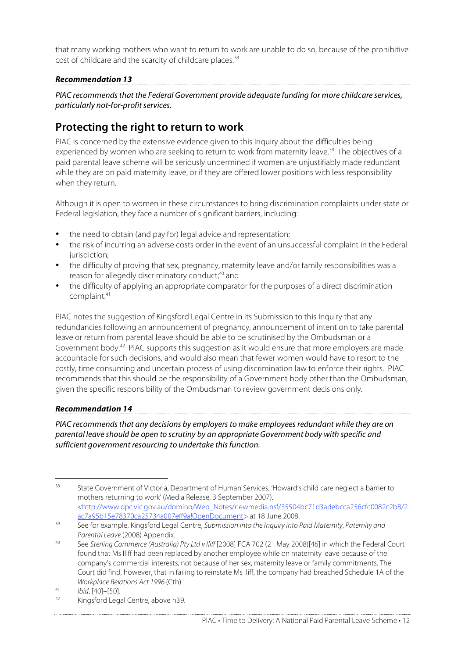that many working mothers who want to return to work are unable to do so, because of the prohibitive cost of childcare and the scarcity of childcare places.<sup>38</sup>

## **Recommendation 13**

PIAC recommends that the Federal Government provide adequate funding for more childcare services, particularly not-for-profit services.

# **Protecting the right to return to work**

PIAC is concerned by the extensive evidence given to this Inquiry about the difficulties being experienced by women who are seeking to return to work from maternity leave.<sup>39</sup> The objectives of a paid parental leave scheme will be seriously undermined if women are unjustifiably made redundant while they are on paid maternity leave, or if they are offered lower positions with less responsibility when they return.

Although it is open to women in these circumstances to bring discrimination complaints under state or Federal legislation, they face a number of significant barriers, including:

- the need to obtain (and pay for) legal advice and representation;
- the risk of incurring an adverse costs order in the event of an unsuccessful complaint in the Federal jurisdiction;
- the difficulty of proving that sex, pregnancy, maternity leave and/or family responsibilities was a reason for allegedly discriminatory conduct; <sup>40</sup> and
- the difficulty of applying an appropriate comparator for the purposes of a direct discrimination complaint. 41

PIAC notes the suggestion of Kingsford Legal Centre in its Submission to this Inquiry that any redundancies following an announcement of pregnancy, announcement of intention to take parental leave or return from parental leave should be able to be scrutinised by the Ombudsman or a Government body.<sup>42</sup> PIAC supports this suggestion as it would ensure that more employers are made accountable for such decisions, and would also mean that fewer women would have to resort to the costly, time consuming and uncertain process of using discrimination law to enforce their rights. PIAC recommends that this should be the responsibility of a Government body other than the Ombudsman, given the specific responsibility of the Ombudsman to review government decisions only.

### **Recommendation 14**

PIAC recommends that any decisions by employers to make employees redundant while they are on parental leave should be open to scrutiny by an appropriate Government body with specific and sufficient government resourcing to undertake this function.

<sup>&</sup>lt;sup>38</sup> State Government of Victoria, Department of Human Services, 'Howard's child care neglect a barrier to mothers returning to work' (Media Release, 3 September 2007). <http://www.dpc.vic.gov.au/domino/Web\_Notes/newmedia.nsf/35504bc71d3adebcca256cfc0082c2b8/2 ac7a95b15e78370ca25734a007eff9a!OpenDocument> at 18 June 2008.

<sup>&</sup>lt;sup>39</sup> See for example, Kingsford Legal Centre, Submission into the Inquiry into Paid Maternity, Paternity and Parental Leave (2008) Appendix.

<sup>40</sup> See Sterling Commerce (Australia) Pty Ltd v Iliff [2008] FCA 702 (21 May 2008)[46] in which the Federal Court found that Ms Iliff had been replaced by another employee while on maternity leave because of the company's commercial interests, not because of her sex, maternity leave or family commitments. The Court did find, however, that in failing to reinstate Ms Iliff, the company had breached Schedule 1A of the Workplace Relations Act 1996 (Cth).

 $\frac{41}{42}$  Ibid, [40]–[50].

Kingsford Legal Centre, above n39.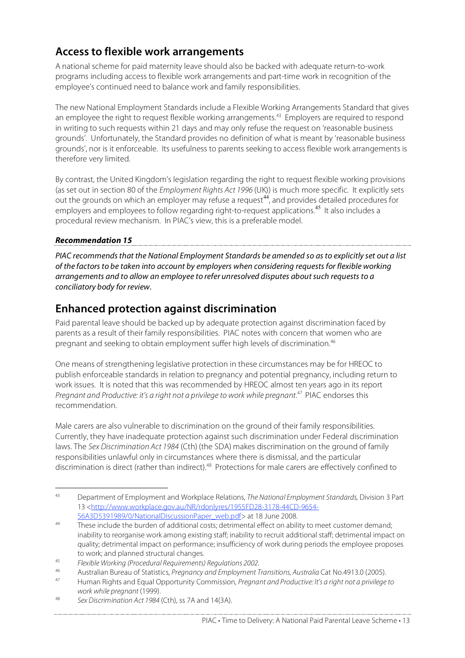# **Access to flexible work arrangements**

A national scheme for paid maternity leave should also be backed with adequate return-to-work programs including access to flexible work arrangements and part-time work in recognition of the employee's continued need to balance work and family responsibilities.

The new National Employment Standards include a Flexible Working Arrangements Standard that gives an employee the right to request flexible working arrangements. <sup>43</sup> Employers are required to respond in writing to such requests within 21 days and may only refuse the request on 'reasonable business grounds'. Unfortunately, the Standard provides no definition of what is meant by 'reasonable business grounds', nor is it enforceable. Its usefulness to parents seeking to access flexible work arrangements is therefore very limited.

By contrast, the United Kingdom's legislation regarding the right to request flexible working provisions (as set out in section 80 of the Employment Rights Act 1996 (UK)) is much more specific. It explicitly sets out the grounds on which an employer may refuse a request<sup>44</sup>, and provides detailed procedures for employers and employees to follow regarding right-to-request applications.<sup>45</sup> It also includes a procedural review mechanism. In PIAC's view, this is a preferable model.

## **Recommendation 15**

PIAC recommends that the National Employment Standards be amended so as to explicitly set out a list of the factors to be taken into account by employers when considering requests for flexible working arrangements and to allow an employee to refer unresolved disputes about such requests to a conciliatory body for review.

# **Enhanced protection against discrimination**

Paid parental leave should be backed up by adequate protection against discrimination faced by parents as a result of their family responsibilities. PIAC notes with concern that women who are pregnant and seeking to obtain employment suffer high levels of discrimination. 46

One means of strengthening legislative protection in these circumstances may be for HREOC to publish enforceable standards in relation to pregnancy and potential pregnancy, including return to work issues. It is noted that this was recommended by HREOC almost ten years ago in its report Pregnant and Productive: it's a right not a privilege to work while pregnant.<sup>47</sup> PIAC endorses this recommendation.

Male carers are also vulnerable to discrimination on the ground of their family responsibilities. Currently, they have inadequate protection against such discrimination under Federal discrimination laws. The Sex Discrimination Act 1984 (Cth) (the SDA) makes discrimination on the ground of family responsibilities unlawful only in circumstances where there is dismissal, and the particular discrimination is direct (rather than indirect).<sup>48</sup> Protections for male carers are effectively confined to

<sup>&</sup>lt;sup>43</sup> Department of Employment and Workplace Relations, The National Employment Standards, Division 3 Part 13 <http://www.workplace.gov.au/NR/rdonlyres/1955FD28-3178-44CD-9654- 56A3D5391989/0/NationalDiscussionPaper\_web.pdf> at 18 June 2008.

<sup>&</sup>lt;sup>44</sup> These include the burden of additional costs; detrimental effect on ability to meet customer demand; inability to reorganise work among existing staff; inability to recruit additional staff; detrimental impact on quality; detrimental impact on performance; insufficiency of work during periods the employee proposes to work; and planned structural changes.

<sup>45</sup> Flexible Working (Procedural Requirements) Regulations 2002.

<sup>46</sup> Australian Bureau of Statistics, Pregnancy and Employment Transitions, Australia Cat No.4913.0 (2005).

Human Rights and Equal Opportunity Commission, Pregnant and Productive: It's a right not a privilege to work while pregnant (1999).

<sup>48</sup> Sex Discrimination Act 1984 (Cth), ss 7A and 14(3A).